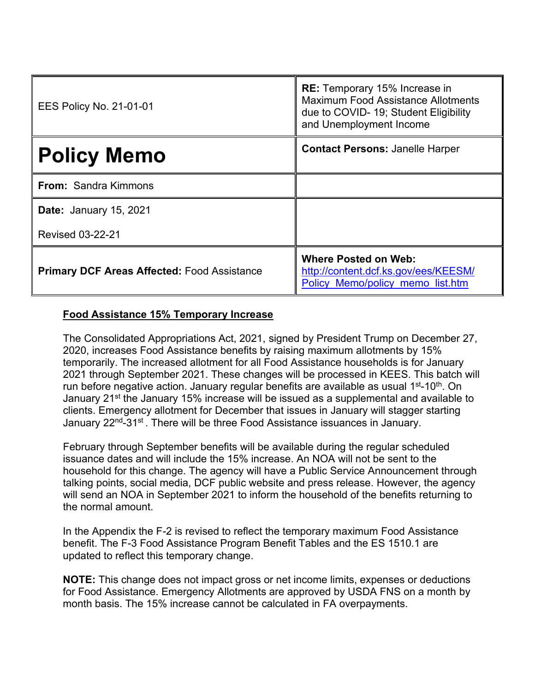| <b>EES Policy No. 21-01-01</b>                     | <b>RE:</b> Temporary 15% Increase in<br>Maximum Food Assistance Allotments<br>due to COVID-19; Student Eligibility<br>and Unemployment Income |
|----------------------------------------------------|-----------------------------------------------------------------------------------------------------------------------------------------------|
| <b>Policy Memo</b>                                 | <b>Contact Persons: Janelle Harper</b>                                                                                                        |
| <b>From: Sandra Kimmons</b>                        |                                                                                                                                               |
| <b>Date: January 15, 2021</b>                      |                                                                                                                                               |
| <b>Revised 03-22-21</b>                            |                                                                                                                                               |
| <b>Primary DCF Areas Affected: Food Assistance</b> | <b>Where Posted on Web:</b><br>http://content.dcf.ks.gov/ees/KEESM/<br>Policy Memo/policy memo list.htm                                       |

## **Food Assistance 15% Temporary Increase**

The Consolidated Appropriations Act, 2021, signed by President Trump on December 27, 2020, increases Food Assistance benefits by raising maximum allotments by 15% temporarily. The increased allotment for all Food Assistance households is for January 2021 through September 2021. These changes will be processed in KEES. This batch will run before negative action. January regular benefits are available as usual 1<sup>st</sup>-10<sup>th</sup>. On January 21<sup>st</sup> the January 15% increase will be issued as a supplemental and available to clients. Emergency allotment for December that issues in January will stagger starting January 22<sup>nd</sup>-31<sup>st</sup>. There will be three Food Assistance issuances in January.

February through September benefits will be available during the regular scheduled issuance dates and will include the 15% increase. An NOA will not be sent to the household for this change. The agency will have a Public Service Announcement through talking points, social media, DCF public website and press release. However, the agency will send an NOA in September 2021 to inform the household of the benefits returning to the normal amount.

In the Appendix the F-2 is revised to reflect the temporary maximum Food Assistance benefit. The F-3 Food Assistance Program Benefit Tables and the ES 1510.1 are updated to reflect this temporary change.

**NOTE:** This change does not impact gross or net income limits, expenses or deductions for Food Assistance. Emergency Allotments are approved by USDA FNS on a month by month basis. The 15% increase cannot be calculated in FA overpayments.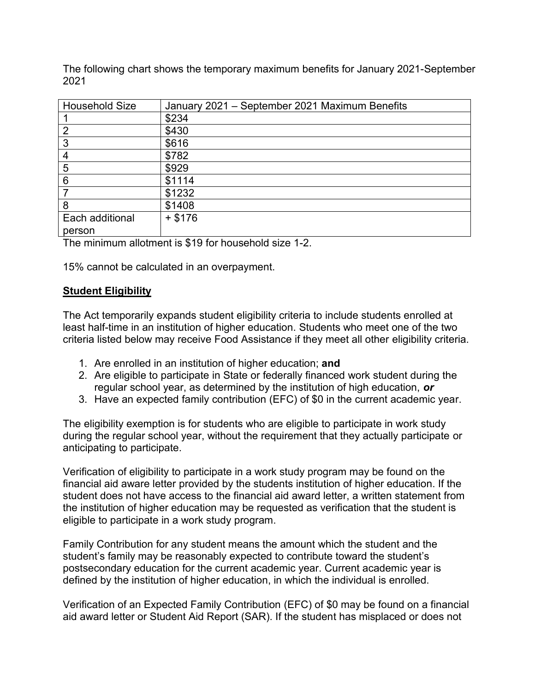The following chart shows the temporary maximum benefits for January 2021-September 2021

| <b>Household Size</b> | January 2021 - September 2021 Maximum Benefits |
|-----------------------|------------------------------------------------|
|                       | \$234                                          |
| $\overline{2}$        | \$430                                          |
| 3                     | \$616                                          |
| $\overline{4}$        | \$782                                          |
| 5                     | \$929                                          |
| 6                     | \$1114                                         |
|                       | \$1232                                         |
| 8                     | \$1408                                         |
| Each additional       | $+ $176$                                       |
| person                |                                                |

The minimum allotment is \$19 for household size 1-2.

15% cannot be calculated in an overpayment.

## **Student Eligibility**

The Act temporarily expands student eligibility criteria to include students enrolled at least half-time in an institution of higher education. Students who meet one of the two criteria listed below may receive Food Assistance if they meet all other eligibility criteria.

- 1. Are enrolled in an institution of higher education; **and**
- 2. Are eligible to participate in State or federally financed work student during the regular school year, as determined by the institution of high education, *or*
- 3. Have an expected family contribution (EFC) of \$0 in the current academic year.

The eligibility exemption is for students who are eligible to participate in work study during the regular school year, without the requirement that they actually participate or anticipating to participate.

Verification of eligibility to participate in a work study program may be found on the financial aid aware letter provided by the students institution of higher education. If the student does not have access to the financial aid award letter, a written statement from the institution of higher education may be requested as verification that the student is eligible to participate in a work study program.

Family Contribution for any student means the amount which the student and the student's family may be reasonably expected to contribute toward the student's postsecondary education for the current academic year. Current academic year is defined by the institution of higher education, in which the individual is enrolled.

Verification of an Expected Family Contribution (EFC) of \$0 may be found on a financial aid award letter or Student Aid Report (SAR). If the student has misplaced or does not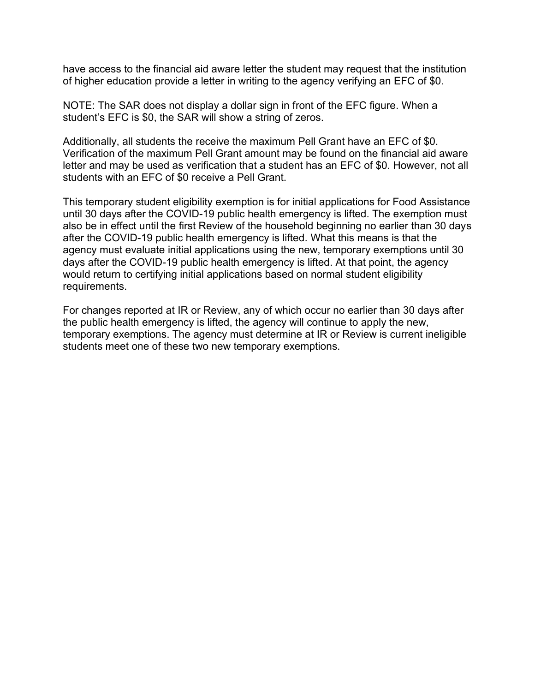have access to the financial aid aware letter the student may request that the institution of higher education provide a letter in writing to the agency verifying an EFC of \$0.

NOTE: The SAR does not display a dollar sign in front of the EFC figure. When a student's EFC is \$0, the SAR will show a string of zeros.

Additionally, all students the receive the maximum Pell Grant have an EFC of \$0. Verification of the maximum Pell Grant amount may be found on the financial aid aware letter and may be used as verification that a student has an EFC of \$0. However, not all students with an EFC of \$0 receive a Pell Grant.

This temporary student eligibility exemption is for initial applications for Food Assistance until 30 days after the COVID-19 public health emergency is lifted. The exemption must also be in effect until the first Review of the household beginning no earlier than 30 days after the COVID-19 public health emergency is lifted. What this means is that the agency must evaluate initial applications using the new, temporary exemptions until 30 days after the COVID-19 public health emergency is lifted. At that point, the agency would return to certifying initial applications based on normal student eligibility requirements.

For changes reported at IR or Review, any of which occur no earlier than 30 days after the public health emergency is lifted, the agency will continue to apply the new, temporary exemptions. The agency must determine at IR or Review is current ineligible students meet one of these two new temporary exemptions.